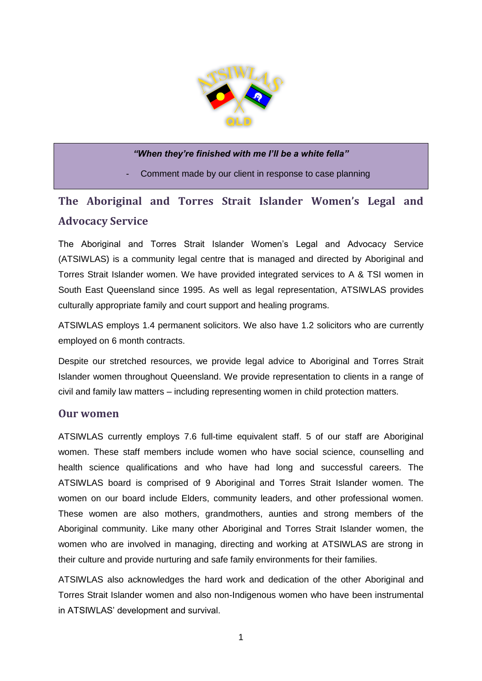

#### *"When they're finished with me I'll be a white fella"*

Comment made by our client in response to case planning

# **The Aboriginal and Torres Strait Islander Women's Legal and Advocacy Service**

The Aboriginal and Torres Strait Islander Women's Legal and Advocacy Service (ATSIWLAS) is a community legal centre that is managed and directed by Aboriginal and Torres Strait Islander women. We have provided integrated services to A & TSI women in South East Queensland since 1995. As well as legal representation, ATSIWLAS provides culturally appropriate family and court support and healing programs.

ATSIWLAS employs 1.4 permanent solicitors. We also have 1.2 solicitors who are currently employed on 6 month contracts.

Despite our stretched resources, we provide legal advice to Aboriginal and Torres Strait Islander women throughout Queensland. We provide representation to clients in a range of civil and family law matters – including representing women in child protection matters.

#### **Our women**

ATSIWLAS currently employs 7.6 full-time equivalent staff. 5 of our staff are Aboriginal women. These staff members include women who have social science, counselling and health science qualifications and who have had long and successful careers. The ATSIWLAS board is comprised of 9 Aboriginal and Torres Strait Islander women. The women on our board include Elders, community leaders, and other professional women. These women are also mothers, grandmothers, aunties and strong members of the Aboriginal community. Like many other Aboriginal and Torres Strait Islander women, the women who are involved in managing, directing and working at ATSIWLAS are strong in their culture and provide nurturing and safe family environments for their families.

ATSIWLAS also acknowledges the hard work and dedication of the other Aboriginal and Torres Strait Islander women and also non-Indigenous women who have been instrumental in ATSIWLAS' development and survival.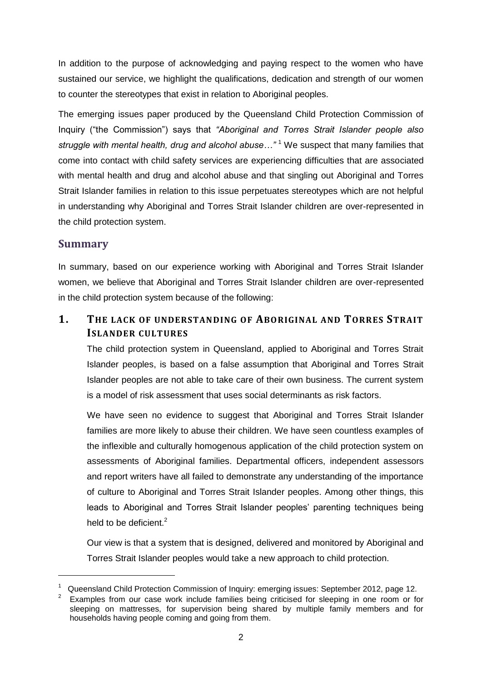In addition to the purpose of acknowledging and paying respect to the women who have sustained our service, we highlight the qualifications, dedication and strength of our women to counter the stereotypes that exist in relation to Aboriginal peoples.

The emerging issues paper produced by the Queensland Child Protection Commission of Inquiry ("the Commission") says that *"Aboriginal and Torres Strait Islander people also struggle with mental health, drug and alcohol abuse…"* <sup>1</sup> We suspect that many families that come into contact with child safety services are experiencing difficulties that are associated with mental health and drug and alcohol abuse and that singling out Aboriginal and Torres Strait Islander families in relation to this issue perpetuates stereotypes which are not helpful in understanding why Aboriginal and Torres Strait Islander children are over-represented in the child protection system.

### **Summary**

-

In summary, based on our experience working with Aboriginal and Torres Strait Islander women, we believe that Aboriginal and Torres Strait Islander children are over-represented in the child protection system because of the following:

## **1. THE LACK OF UNDERSTANDING OF ABORIGINAL AND TORRES STRAIT ISLANDER CULTURES**

The child protection system in Queensland, applied to Aboriginal and Torres Strait Islander peoples, is based on a false assumption that Aboriginal and Torres Strait Islander peoples are not able to take care of their own business. The current system is a model of risk assessment that uses social determinants as risk factors.

We have seen no evidence to suggest that Aboriginal and Torres Strait Islander families are more likely to abuse their children. We have seen countless examples of the inflexible and culturally homogenous application of the child protection system on assessments of Aboriginal families. Departmental officers, independent assessors and report writers have all failed to demonstrate any understanding of the importance of culture to Aboriginal and Torres Strait Islander peoples. Among other things, this leads to Aboriginal and Torres Strait Islander peoples' parenting techniques being held to be deficient.<sup>2</sup>

Our view is that a system that is designed, delivered and monitored by Aboriginal and Torres Strait Islander peoples would take a new approach to child protection.

<sup>&</sup>lt;sup>1</sup> Queensland Child Protection Commission of Inquiry: emerging issues: September 2012, page 12.

<sup>2</sup> Examples from our case work include families being criticised for sleeping in one room or for sleeping on mattresses, for supervision being shared by multiple family members and for households having people coming and going from them.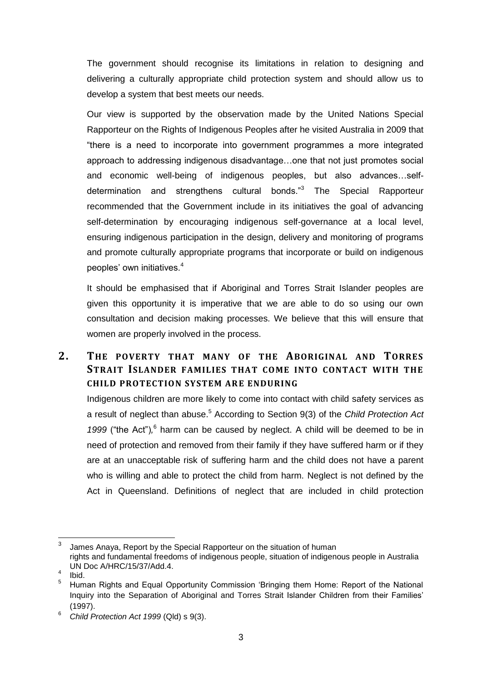The government should recognise its limitations in relation to designing and delivering a culturally appropriate child protection system and should allow us to develop a system that best meets our needs.

Our view is supported by the observation made by the United Nations Special Rapporteur on the Rights of Indigenous Peoples after he visited Australia in 2009 that "there is a need to incorporate into government programmes a more integrated approach to addressing indigenous disadvantage…one that not just promotes social and economic well-being of indigenous peoples, but also advances…selfdetermination and strengthens cultural bonds."<sup>3</sup> The Special Rapporteur recommended that the Government include in its initiatives the goal of advancing self-determination by encouraging indigenous self-governance at a local level, ensuring indigenous participation in the design, delivery and monitoring of programs and promote culturally appropriate programs that incorporate or build on indigenous peoples' own initiatives.<sup>4</sup>

It should be emphasised that if Aboriginal and Torres Strait Islander peoples are given this opportunity it is imperative that we are able to do so using our own consultation and decision making processes. We believe that this will ensure that women are properly involved in the process.

## **2. THE POVERTY THAT MANY OF THE ABORIGINAL AND TORRES STRAIT ISLANDER FAMILIES THAT COME INTO CONTACT WITH THE CHILD PROTECTION SYSTEM ARE ENDURING**

Indigenous children are more likely to come into contact with child safety services as a result of neglect than abuse.<sup>5</sup> According to Section 9(3) of the *Child Protection Act*  1999 ("the Act"),<sup>6</sup> harm can be caused by neglect. A child will be deemed to be in need of protection and removed from their family if they have suffered harm or if they are at an unacceptable risk of suffering harm and the child does not have a parent who is willing and able to protect the child from harm. Neglect is not defined by the Act in Queensland. Definitions of neglect that are included in child protection

 $\frac{1}{3}$ James Anaya, Report by the Special Rapporteur on the situation of human rights and fundamental freedoms of indigenous people, situation of indigenous people in Australia UN Doc A/HRC/15/37/Add.4.

<sup>4</sup> Ibid.

<sup>5</sup> Human Rights and Equal Opportunity Commission 'Bringing them Home: Report of the National Inquiry into the Separation of Aboriginal and Torres Strait Islander Children from their Families' (1997).

<sup>6</sup> *Child Protection Act 1999* (Qld) s 9(3).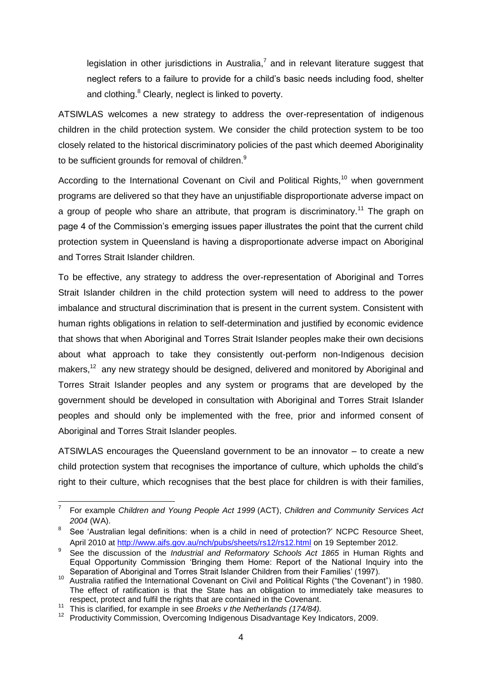legislation in other jurisdictions in Australia,<sup>7</sup> and in relevant literature suggest that neglect refers to a failure to provide for a child's basic needs including food, shelter and clothing.<sup>8</sup> Clearly, neglect is linked to poverty.

ATSIWLAS welcomes a new strategy to address the over-representation of indigenous children in the child protection system. We consider the child protection system to be too closely related to the historical discriminatory policies of the past which deemed Aboriginality to be sufficient grounds for removal of children.<sup>9</sup>

According to the International Covenant on Civil and Political Rights,<sup>10</sup> when government programs are delivered so that they have an unjustifiable disproportionate adverse impact on a group of people who share an attribute, that program is discriminatory.<sup>11</sup> The graph on page 4 of the Commission's emerging issues paper illustrates the point that the current child protection system in Queensland is having a disproportionate adverse impact on Aboriginal and Torres Strait Islander children.

To be effective, any strategy to address the over-representation of Aboriginal and Torres Strait Islander children in the child protection system will need to address to the power imbalance and structural discrimination that is present in the current system. Consistent with human rights obligations in relation to self-determination and justified by economic evidence that shows that when Aboriginal and Torres Strait Islander peoples make their own decisions about what approach to take they consistently out-perform non-Indigenous decision makers,<sup>12</sup> any new strategy should be designed, delivered and monitored by Aboriginal and Torres Strait Islander peoples and any system or programs that are developed by the government should be developed in consultation with Aboriginal and Torres Strait Islander peoples and should only be implemented with the free, prior and informed consent of Aboriginal and Torres Strait Islander peoples.

ATSIWLAS encourages the Queensland government to be an innovator – to create a new child protection system that recognises the importance of culture, which upholds the child's right to their culture, which recognises that the best place for children is with their families,

<sup>-</sup>7 For example *Children and Young People Act 1999* (ACT), *Children and Community Services Act 2004* (WA).

<sup>8</sup> See 'Australian legal definitions: when is a child in need of protection?' NCPC Resource Sheet, April 2010 at<http://www.aifs.gov.au/nch/pubs/sheets/rs12/rs12.html> on 19 September 2012.

<sup>9</sup> See the discussion of the *Industrial and Reformatory Schools Act 1865* in Human Rights and Equal Opportunity Commission 'Bringing them Home: Report of the National Inquiry into the Separation of Aboriginal and Torres Strait Islander Children from their Families' (1997).

<sup>&</sup>lt;sup>10</sup> Australia ratified the International Covenant on Civil and Political Rights ("the Covenant") in 1980. The effect of ratification is that the State has an obligation to immediately take measures to respect, protect and fulfil the rights that are contained in the Covenant.

<sup>11</sup> This is clarified, for example in see *Broeks v the Netherlands (174/84).*

<sup>12</sup> Productivity Commission, Overcoming Indigenous Disadvantage Key Indicators, 2009.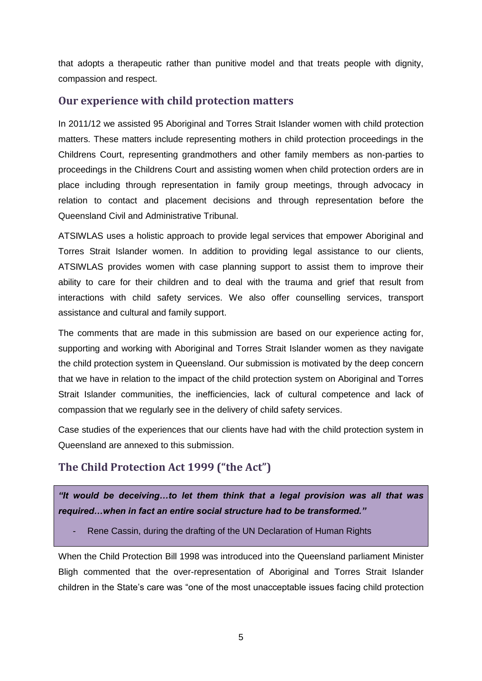that adopts a therapeutic rather than punitive model and that treats people with dignity, compassion and respect.

### **Our experience with child protection matters**

In 2011/12 we assisted 95 Aboriginal and Torres Strait Islander women with child protection matters. These matters include representing mothers in child protection proceedings in the Childrens Court, representing grandmothers and other family members as non-parties to proceedings in the Childrens Court and assisting women when child protection orders are in place including through representation in family group meetings, through advocacy in relation to contact and placement decisions and through representation before the Queensland Civil and Administrative Tribunal.

ATSIWLAS uses a holistic approach to provide legal services that empower Aboriginal and Torres Strait Islander women. In addition to providing legal assistance to our clients, ATSIWLAS provides women with case planning support to assist them to improve their ability to care for their children and to deal with the trauma and grief that result from interactions with child safety services. We also offer counselling services, transport assistance and cultural and family support.

The comments that are made in this submission are based on our experience acting for, supporting and working with Aboriginal and Torres Strait Islander women as they navigate the child protection system in Queensland. Our submission is motivated by the deep concern that we have in relation to the impact of the child protection system on Aboriginal and Torres Strait Islander communities, the inefficiencies, lack of cultural competence and lack of compassion that we regularly see in the delivery of child safety services.

Case studies of the experiences that our clients have had with the child protection system in Queensland are annexed to this submission.

## **The Child Protection Act 1999 ("the Act")**

*"It would be deceiving…to let them think that a legal provision was all that was required…when in fact an entire social structure had to be transformed."*

Rene Cassin, during the drafting of the UN Declaration of Human Rights

When the Child Protection Bill 1998 was introduced into the Queensland parliament Minister Bligh commented that the over-representation of Aboriginal and Torres Strait Islander children in the State's care was "one of the most unacceptable issues facing child protection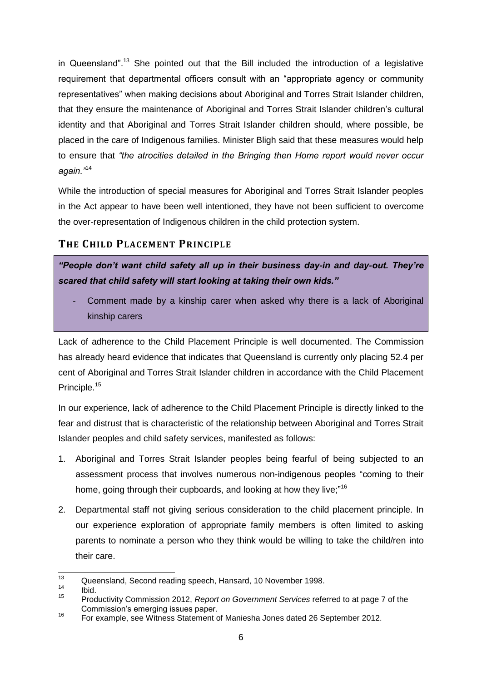in Queensland".<sup>13</sup> She pointed out that the Bill included the introduction of a legislative requirement that departmental officers consult with an "appropriate agency or community representatives" when making decisions about Aboriginal and Torres Strait Islander children, that they ensure the maintenance of Aboriginal and Torres Strait Islander children's cultural identity and that Aboriginal and Torres Strait Islander children should, where possible, be placed in the care of Indigenous families. Minister Bligh said that these measures would help to ensure that *"the atrocities detailed in the Bringing then Home report would never occur again."*<sup>14</sup>

While the introduction of special measures for Aboriginal and Torres Strait Islander peoples in the Act appear to have been well intentioned, they have not been sufficient to overcome the over-representation of Indigenous children in the child protection system.

## **THE CHILD PLACEMENT PRINCIPLE**

*"People don't want child safety all up in their business day-in and day-out. They're scared that child safety will start looking at taking their own kids."*

Comment made by a kinship carer when asked why there is a lack of Aboriginal kinship carers

Lack of adherence to the Child Placement Principle is well documented. The Commission has already heard evidence that indicates that Queensland is currently only placing 52.4 per cent of Aboriginal and Torres Strait Islander children in accordance with the Child Placement Principle.<sup>15</sup>

In our experience, lack of adherence to the Child Placement Principle is directly linked to the fear and distrust that is characteristic of the relationship between Aboriginal and Torres Strait Islander peoples and child safety services, manifested as follows:

- 1. Aboriginal and Torres Strait Islander peoples being fearful of being subjected to an assessment process that involves numerous non-indigenous peoples "coming to their home, going through their cupboards, and looking at how they live;"<sup>16</sup>
- 2. Departmental staff not giving serious consideration to the child placement principle. In our experience exploration of appropriate family members is often limited to asking parents to nominate a person who they think would be willing to take the child/ren into their care.

 $13$ <sup>13</sup> Queensland, Second reading speech, Hansard, 10 November 1998.

 $\frac{14}{15}$  Ibid.

<sup>15</sup> Productivity Commission 2012, *Report on Government Services* referred to at page 7 of the Commission's emerging issues paper.<br><sup>16</sup> Est evenue ace Witness Statement o

<sup>16</sup> For example, see Witness Statement of Maniesha Jones dated 26 September 2012.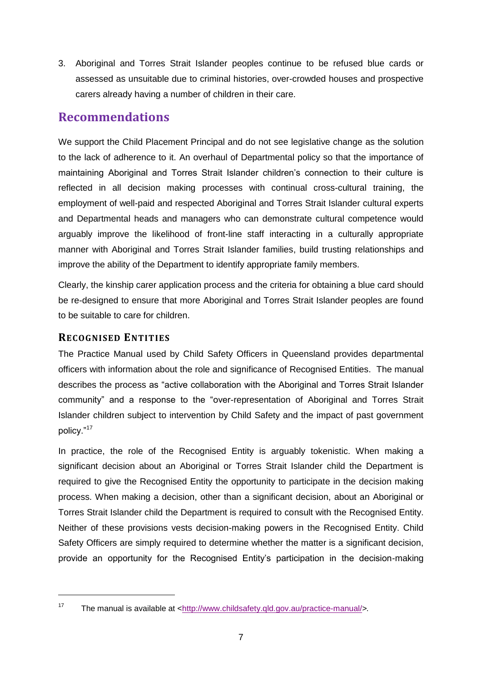3. Aboriginal and Torres Strait Islander peoples continue to be refused blue cards or assessed as unsuitable due to criminal histories, over-crowded houses and prospective carers already having a number of children in their care.

## **Recommendations**

We support the Child Placement Principal and do not see legislative change as the solution to the lack of adherence to it. An overhaul of Departmental policy so that the importance of maintaining Aboriginal and Torres Strait Islander children's connection to their culture is reflected in all decision making processes with continual cross-cultural training, the employment of well-paid and respected Aboriginal and Torres Strait Islander cultural experts and Departmental heads and managers who can demonstrate cultural competence would arguably improve the likelihood of front-line staff interacting in a culturally appropriate manner with Aboriginal and Torres Strait Islander families, build trusting relationships and improve the ability of the Department to identify appropriate family members.

Clearly, the kinship carer application process and the criteria for obtaining a blue card should be re-designed to ensure that more Aboriginal and Torres Strait Islander peoples are found to be suitable to care for children.

#### **RECOGNISED ENTITIES**

-

The Practice Manual used by Child Safety Officers in Queensland provides departmental officers with information about the role and significance of Recognised Entities. The manual describes the process as "active collaboration with the Aboriginal and Torres Strait Islander community" and a response to the "over-representation of Aboriginal and Torres Strait Islander children subject to intervention by Child Safety and the impact of past government policy."<sup>17</sup>

In practice, the role of the Recognised Entity is arguably tokenistic. When making a significant decision about an Aboriginal or Torres Strait Islander child the Department is required to give the Recognised Entity the opportunity to participate in the decision making process. When making a decision, other than a significant decision, about an Aboriginal or Torres Strait Islander child the Department is required to consult with the Recognised Entity. Neither of these provisions vests decision-making powers in the Recognised Entity. Child Safety Officers are simply required to determine whether the matter is a significant decision, provide an opportunity for the Recognised Entity's participation in the decision-making

<sup>17</sup> The manual is available at [<http://www.childsafety.qld.gov.au/practice-manual/](http://www.childsafety.qld.gov.au/practice-manual/)*>.*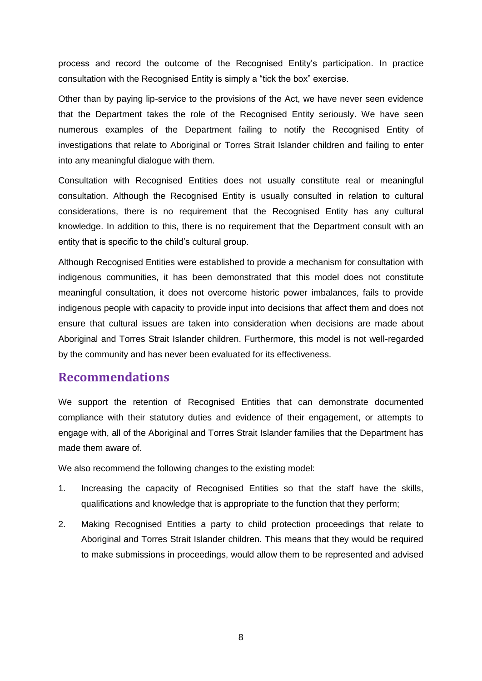process and record the outcome of the Recognised Entity's participation. In practice consultation with the Recognised Entity is simply a "tick the box" exercise.

Other than by paying lip-service to the provisions of the Act, we have never seen evidence that the Department takes the role of the Recognised Entity seriously. We have seen numerous examples of the Department failing to notify the Recognised Entity of investigations that relate to Aboriginal or Torres Strait Islander children and failing to enter into any meaningful dialogue with them.

Consultation with Recognised Entities does not usually constitute real or meaningful consultation. Although the Recognised Entity is usually consulted in relation to cultural considerations, there is no requirement that the Recognised Entity has any cultural knowledge. In addition to this, there is no requirement that the Department consult with an entity that is specific to the child's cultural group.

Although Recognised Entities were established to provide a mechanism for consultation with indigenous communities, it has been demonstrated that this model does not constitute meaningful consultation, it does not overcome historic power imbalances, fails to provide indigenous people with capacity to provide input into decisions that affect them and does not ensure that cultural issues are taken into consideration when decisions are made about Aboriginal and Torres Strait Islander children. Furthermore, this model is not well-regarded by the community and has never been evaluated for its effectiveness.

#### **Recommendations**

We support the retention of Recognised Entities that can demonstrate documented compliance with their statutory duties and evidence of their engagement, or attempts to engage with, all of the Aboriginal and Torres Strait Islander families that the Department has made them aware of.

We also recommend the following changes to the existing model:

- 1. Increasing the capacity of Recognised Entities so that the staff have the skills, qualifications and knowledge that is appropriate to the function that they perform;
- 2. Making Recognised Entities a party to child protection proceedings that relate to Aboriginal and Torres Strait Islander children. This means that they would be required to make submissions in proceedings, would allow them to be represented and advised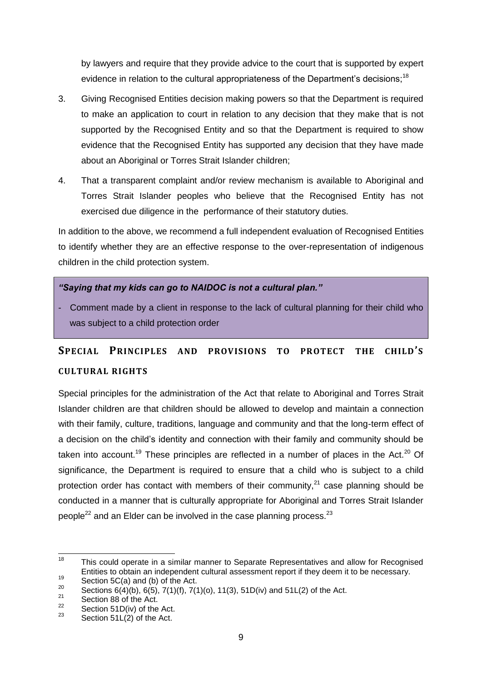by lawyers and require that they provide advice to the court that is supported by expert evidence in relation to the cultural appropriateness of the Department's decisions;<sup>18</sup>

- 3. Giving Recognised Entities decision making powers so that the Department is required to make an application to court in relation to any decision that they make that is not supported by the Recognised Entity and so that the Department is required to show evidence that the Recognised Entity has supported any decision that they have made about an Aboriginal or Torres Strait Islander children;
- 4. That a transparent complaint and/or review mechanism is available to Aboriginal and Torres Strait Islander peoples who believe that the Recognised Entity has not exercised due diligence in the performance of their statutory duties.

In addition to the above, we recommend a full independent evaluation of Recognised Entities to identify whether they are an effective response to the over-representation of indigenous children in the child protection system.

#### *"Saying that my kids can go to NAIDOC is not a cultural plan."*

- Comment made by a client in response to the lack of cultural planning for their child who was subject to a child protection order

# **SPECIAL PRINCIPLES AND PROVISIONS TO PROTECT THE CHILD'S CULTURAL RIGHTS**

Special principles for the administration of the Act that relate to Aboriginal and Torres Strait Islander children are that children should be allowed to develop and maintain a connection with their family, culture, traditions, language and community and that the long-term effect of a decision on the child's identity and connection with their family and community should be taken into account.<sup>19</sup> These principles are reflected in a number of places in the Act.<sup>20</sup> Of significance, the Department is required to ensure that a child who is subject to a child protection order has contact with members of their community, $^{21}$  case planning should be conducted in a manner that is culturally appropriate for Aboriginal and Torres Strait Islander people<sup>22</sup> and an Elder can be involved in the case planning process.<sup>23</sup>

<sup>18</sup> This could operate in a similar manner to Separate Representatives and allow for Recognised Entities to obtain an independent cultural assessment report if they deem it to be necessary.

 $^{19}$  Section 5C(a) and (b) of the Act.

<sup>&</sup>lt;sup>20</sup> Sections  $6(4)(b)$ ,  $6(5)$ ,  $7(1)(f)$ ,  $7(1)(o)$ ,  $11(3)$ ,  $51D(iv)$  and  $51L(2)$  of the Act.<br>
Section 88 of the Act

<sup>&</sup>lt;sup>21</sup> Section 88 of the Act.<br><sup>22</sup> Section 51 D(iv) of the

 $\frac{22}{23}$  Section 51D(iv) of the Act.

Section  $51L(2)$  of the Act.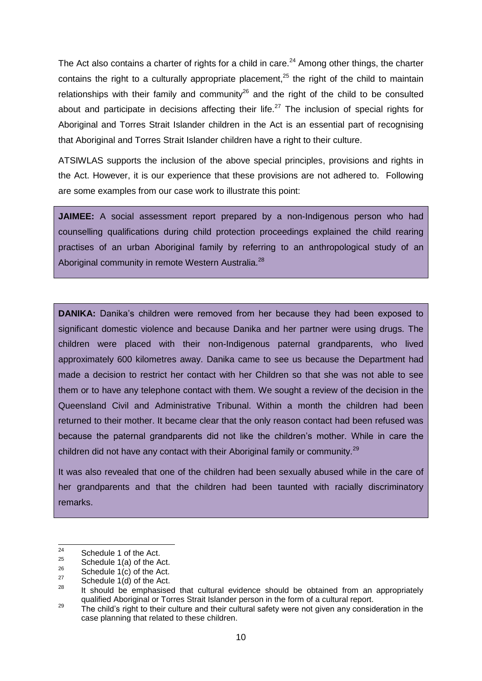The Act also contains a charter of rights for a child in care.<sup>24</sup> Among other things, the charter contains the right to a culturally appropriate placement, $25$  the right of the child to maintain relationships with their family and community<sup>26</sup> and the right of the child to be consulted about and participate in decisions affecting their life.<sup>27</sup> The inclusion of special rights for Aboriginal and Torres Strait Islander children in the Act is an essential part of recognising that Aboriginal and Torres Strait Islander children have a right to their culture.

ATSIWLAS supports the inclusion of the above special principles, provisions and rights in the Act. However, it is our experience that these provisions are not adhered to. Following are some examples from our case work to illustrate this point:

**JAIMEE:** A social assessment report prepared by a non-Indigenous person who had counselling qualifications during child protection proceedings explained the child rearing practises of an urban Aboriginal family by referring to an anthropological study of an Aboriginal community in remote Western Australia.<sup>28</sup>

**DANIKA:** Danika's children were removed from her because they had been exposed to significant domestic violence and because Danika and her partner were using drugs. The children were placed with their non-Indigenous paternal grandparents, who lived approximately 600 kilometres away. Danika came to see us because the Department had made a decision to restrict her contact with her Children so that she was not able to see them or to have any telephone contact with them. We sought a review of the decision in the Queensland Civil and Administrative Tribunal. Within a month the children had been returned to their mother. It became clear that the only reason contact had been refused was because the paternal grandparents did not like the children's mother. While in care the children did not have any contact with their Aboriginal family or community.<sup>29</sup>

It was also revealed that one of the children had been sexually abused while in the care of her grandparents and that the children had been taunted with racially discriminatory remarks.

<sup>24</sup>  $^{24}$  Schedule 1 of the Act.

<sup>&</sup>lt;sup>25</sup> Schedule 1(a) of the Act.

 $^{26}$  Schedule 1(c) of the Act.

 $^{27}$  Schedule 1(d) of the Act.

It should be emphasised that cultural evidence should be obtained from an appropriately qualified Aboriginal or Torres Strait Islander person in the form of a cultural report.

<sup>&</sup>lt;sup>29</sup> The child's right to their culture and their cultural safety were not given any consideration in the case planning that related to these children.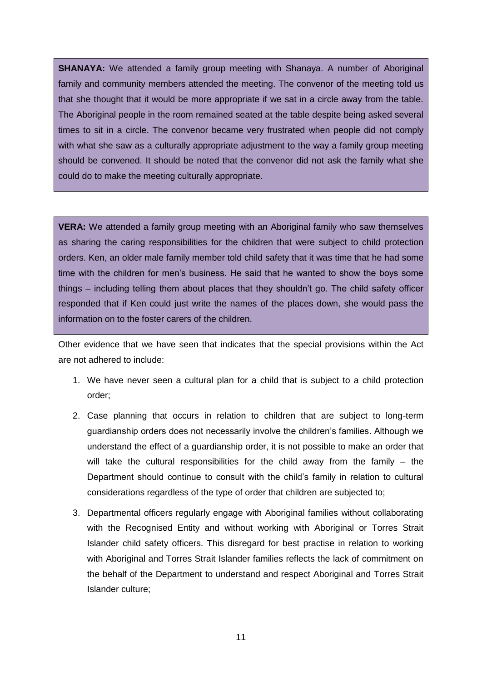**SHANAYA:** We attended a family group meeting with Shanaya. A number of Aboriginal family and community members attended the meeting. The convenor of the meeting told us that she thought that it would be more appropriate if we sat in a circle away from the table. The Aboriginal people in the room remained seated at the table despite being asked several times to sit in a circle. The convenor became very frustrated when people did not comply with what she saw as a culturally appropriate adjustment to the way a family group meeting should be convened. It should be noted that the convenor did not ask the family what she could do to make the meeting culturally appropriate.

**VERA:** We attended a family group meeting with an Aboriginal family who saw themselves as sharing the caring responsibilities for the children that were subject to child protection orders. Ken, an older male family member told child safety that it was time that he had some time with the children for men's business. He said that he wanted to show the boys some things – including telling them about places that they shouldn't go. The child safety officer responded that if Ken could just write the names of the places down, she would pass the information on to the foster carers of the children.

Other evidence that we have seen that indicates that the special provisions within the Act are not adhered to include:

- 1. We have never seen a cultural plan for a child that is subject to a child protection order;
- 2. Case planning that occurs in relation to children that are subject to long-term guardianship orders does not necessarily involve the children's families. Although we understand the effect of a guardianship order, it is not possible to make an order that will take the cultural responsibilities for the child away from the family – the Department should continue to consult with the child's family in relation to cultural considerations regardless of the type of order that children are subjected to;
- 3. Departmental officers regularly engage with Aboriginal families without collaborating with the Recognised Entity and without working with Aboriginal or Torres Strait Islander child safety officers. This disregard for best practise in relation to working with Aboriginal and Torres Strait Islander families reflects the lack of commitment on the behalf of the Department to understand and respect Aboriginal and Torres Strait Islander culture;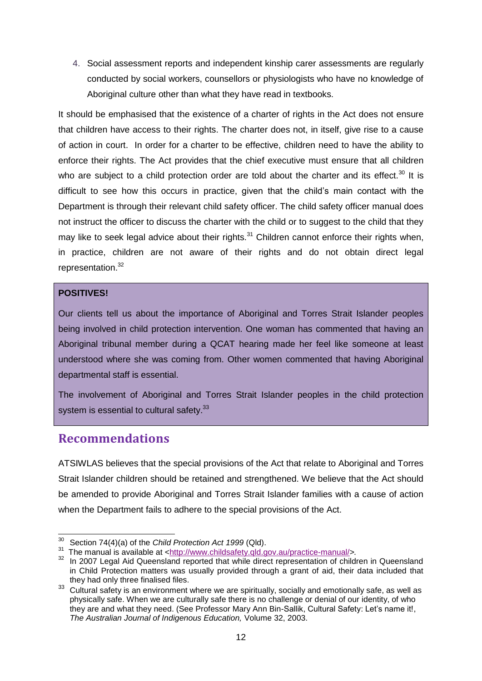4. Social assessment reports and independent kinship carer assessments are regularly conducted by social workers, counsellors or physiologists who have no knowledge of Aboriginal culture other than what they have read in textbooks.

It should be emphasised that the existence of a charter of rights in the Act does not ensure that children have access to their rights. The charter does not, in itself, give rise to a cause of action in court. In order for a charter to be effective, children need to have the ability to enforce their rights. The Act provides that the chief executive must ensure that all children who are subject to a child protection order are told about the charter and its effect.<sup>30</sup> It is difficult to see how this occurs in practice, given that the child's main contact with the Department is through their relevant child safety officer. The child safety officer manual does not instruct the officer to discuss the charter with the child or to suggest to the child that they may like to seek legal advice about their rights.<sup>31</sup> Children cannot enforce their rights when, in practice, children are not aware of their rights and do not obtain direct legal representation.<sup>32</sup>

#### **POSITIVES!**

Our clients tell us about the importance of Aboriginal and Torres Strait Islander peoples being involved in child protection intervention. One woman has commented that having an Aboriginal tribunal member during a QCAT hearing made her feel like someone at least understood where she was coming from. Other women commented that having Aboriginal departmental staff is essential.

The involvement of Aboriginal and Torres Strait Islander peoples in the child protection system is essential to cultural safety.<sup>33</sup>

## **Recommendations**

ATSIWLAS believes that the special provisions of the Act that relate to Aboriginal and Torres Strait Islander children should be retained and strengthened. We believe that the Act should be amended to provide Aboriginal and Torres Strait Islander families with a cause of action when the Department fails to adhere to the special provisions of the Act.

<sup>-</sup><sup>30</sup> Section 74(4)(a) of the *Child Protection Act 1999* (Qld).

<sup>&</sup>lt;sup>31</sup> The manual is available at [<http://www.childsafety.qld.gov.au/practice-manual/](http://www.childsafety.qld.gov.au/practice-manual/)>.

<sup>&</sup>lt;sup>32</sup> In 2007 Legal Aid Queensland reported that while direct representation of children in Queensland in Child Protection matters was usually provided through a grant of aid, their data included that they had only three finalised files.

<sup>33</sup> Cultural safety is an environment where we are spiritually, socially and emotionally safe, as well as physically safe. When we are culturally safe there is no challenge or denial of our identity, of who they are and what they need. (See Professor Mary Ann Bin-Sallik, Cultural Safety: Let's name it!, *The Australian Journal of Indigenous Education,* Volume 32, 2003.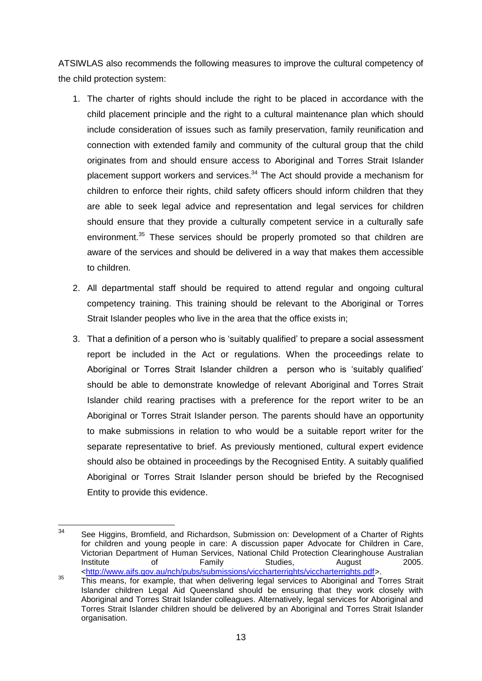ATSIWLAS also recommends the following measures to improve the cultural competency of the child protection system:

- 1. The charter of rights should include the right to be placed in accordance with the child placement principle and the right to a cultural maintenance plan which should include consideration of issues such as family preservation, family reunification and connection with extended family and community of the cultural group that the child originates from and should ensure access to Aboriginal and Torres Strait Islander placement support workers and services. $34$  The Act should provide a mechanism for children to enforce their rights, child safety officers should inform children that they are able to seek legal advice and representation and legal services for children should ensure that they provide a culturally competent service in a culturally safe environment.<sup>35</sup> These services should be properly promoted so that children are aware of the services and should be delivered in a way that makes them accessible to children.
- 2. All departmental staff should be required to attend regular and ongoing cultural competency training. This training should be relevant to the Aboriginal or Torres Strait Islander peoples who live in the area that the office exists in;
- 3. That a definition of a person who is 'suitably qualified' to prepare a social assessment report be included in the Act or regulations. When the proceedings relate to Aboriginal or Torres Strait Islander children a person who is 'suitably qualified' should be able to demonstrate knowledge of relevant Aboriginal and Torres Strait Islander child rearing practises with a preference for the report writer to be an Aboriginal or Torres Strait Islander person. The parents should have an opportunity to make submissions in relation to who would be a suitable report writer for the separate representative to brief. As previously mentioned, cultural expert evidence should also be obtained in proceedings by the Recognised Entity. A suitably qualified Aboriginal or Torres Strait Islander person should be briefed by the Recognised Entity to provide this evidence.

 $34$ See Higgins, Bromfield, and Richardson, Submission on: Development of a Charter of Rights for children and young people in care: A discussion paper Advocate for Children in Care, Victorian Department of Human Services, National Child Protection Clearinghouse Australian Institute of Family Studies, August 2005. [<http://www.aifs.gov.au/nch/pubs/submissions/viccharterrights/viccharterrights.pdf>](http://www.aifs.gov.au/nch/pubs/submissions/viccharterrights/viccharterrights.pdf).

<sup>&</sup>lt;sup>35</sup> This means, for example, that when delivering legal services to Aboriginal and Torres Strait Islander children Legal Aid Queensland should be ensuring that they work closely with Aboriginal and Torres Strait Islander colleagues. Alternatively, legal services for Aboriginal and Torres Strait Islander children should be delivered by an Aboriginal and Torres Strait Islander organisation.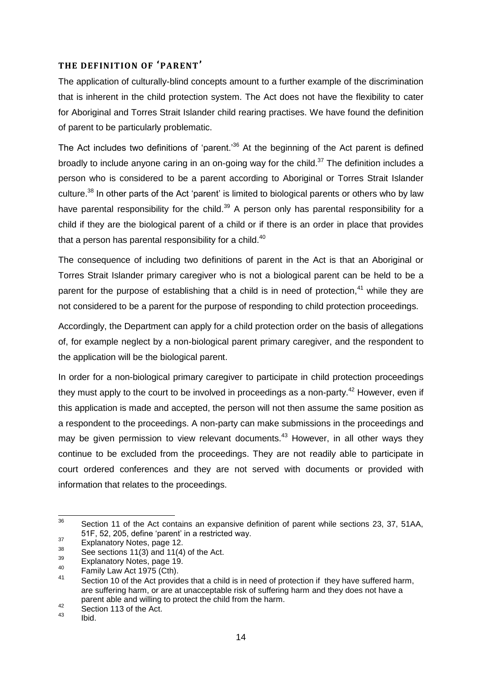#### **THE DEFINITION OF 'PARENT'**

The application of culturally-blind concepts amount to a further example of the discrimination that is inherent in the child protection system. The Act does not have the flexibility to cater for Aboriginal and Torres Strait Islander child rearing practises. We have found the definition of parent to be particularly problematic.

The Act includes two definitions of 'parent.<sup>36</sup> At the beginning of the Act parent is defined broadly to include anyone caring in an on-going way for the child.<sup>37</sup> The definition includes a person who is considered to be a parent according to Aboriginal or Torres Strait Islander culture.<sup>38</sup> In other parts of the Act 'parent' is limited to biological parents or others who by law have parental responsibility for the child.<sup>39</sup> A person only has parental responsibility for a child if they are the biological parent of a child or if there is an order in place that provides that a person has parental responsibility for a child. $40$ 

The consequence of including two definitions of parent in the Act is that an Aboriginal or Torres Strait Islander primary caregiver who is not a biological parent can be held to be a parent for the purpose of establishing that a child is in need of protection, $41$  while they are not considered to be a parent for the purpose of responding to child protection proceedings.

Accordingly, the Department can apply for a child protection order on the basis of allegations of, for example neglect by a non-biological parent primary caregiver, and the respondent to the application will be the biological parent.

In order for a non-biological primary caregiver to participate in child protection proceedings they must apply to the court to be involved in proceedings as a non-party.<sup>42</sup> However, even if this application is made and accepted, the person will not then assume the same position as a respondent to the proceedings. A non-party can make submissions in the proceedings and may be given permission to view relevant documents.<sup>43</sup> However, in all other ways they continue to be excluded from the proceedings. They are not readily able to participate in court ordered conferences and they are not served with documents or provided with information that relates to the proceedings.

 $\frac{1}{36}$  Section 11 of the Act contains an expansive definition of parent while sections 23, 37, 51AA, 51F, 52, 205, define 'parent' in a restricted way.

<sup>37</sup>  $^{37}$  Explanatory Notes, page 12.

 $3<sup>38</sup>$  See sections 11(3) and 11(4) of the Act.

 $\frac{39}{40}$  Explanatory Notes, page 19.

 $^{40}$  Family Law Act 1975 (Cth).

Section 10 of the Act provides that a child is in need of protection if they have suffered harm, are suffering harm, or are at unacceptable risk of suffering harm and they does not have a parent able and willing to protect the child from the harm.

 $^{42}$  Section 113 of the Act.

<sup>43</sup> Ibid.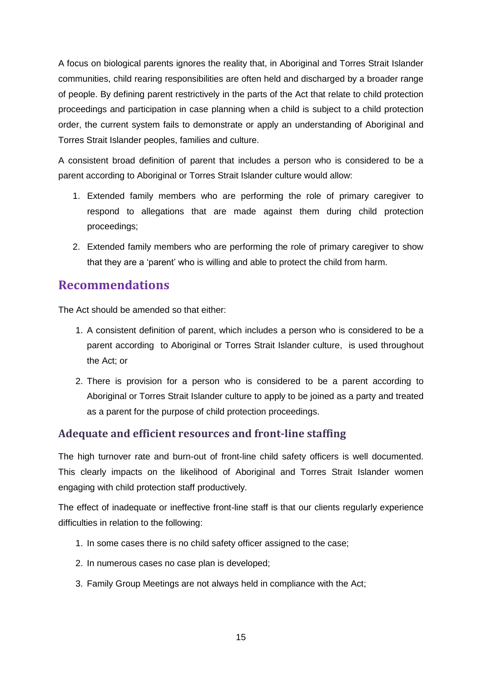A focus on biological parents ignores the reality that, in Aboriginal and Torres Strait Islander communities, child rearing responsibilities are often held and discharged by a broader range of people. By defining parent restrictively in the parts of the Act that relate to child protection proceedings and participation in case planning when a child is subject to a child protection order, the current system fails to demonstrate or apply an understanding of Aboriginal and Torres Strait Islander peoples, families and culture.

A consistent broad definition of parent that includes a person who is considered to be a parent according to Aboriginal or Torres Strait Islander culture would allow:

- 1. Extended family members who are performing the role of primary caregiver to respond to allegations that are made against them during child protection proceedings;
- 2. Extended family members who are performing the role of primary caregiver to show that they are a 'parent' who is willing and able to protect the child from harm.

## **Recommendations**

The Act should be amended so that either:

- 1. A consistent definition of parent, which includes a person who is considered to be a parent according to Aboriginal or Torres Strait Islander culture, is used throughout the Act; or
- 2. There is provision for a person who is considered to be a parent according to Aboriginal or Torres Strait Islander culture to apply to be joined as a party and treated as a parent for the purpose of child protection proceedings.

## **Adequate and efficient resources and front-line staffing**

The high turnover rate and burn-out of front-line child safety officers is well documented. This clearly impacts on the likelihood of Aboriginal and Torres Strait Islander women engaging with child protection staff productively.

The effect of inadequate or ineffective front-line staff is that our clients regularly experience difficulties in relation to the following:

- 1. In some cases there is no child safety officer assigned to the case;
- 2. In numerous cases no case plan is developed;
- 3. Family Group Meetings are not always held in compliance with the Act;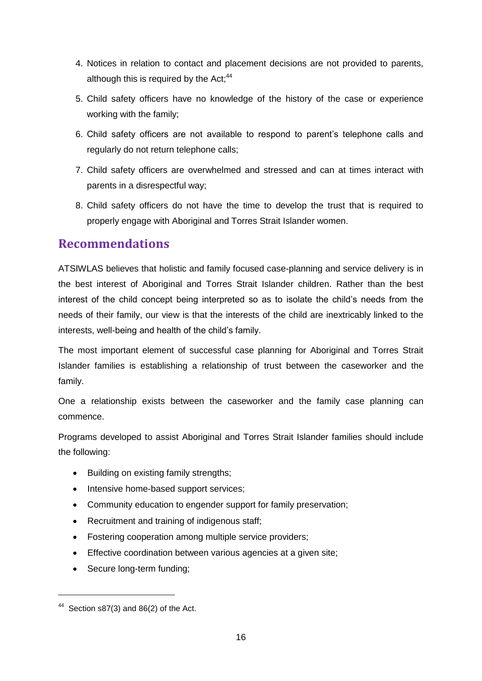- 4. Notices in relation to contact and placement decisions are not provided to parents, although this is required by the Act; $44$
- 5. Child safety officers have no knowledge of the history of the case or experience working with the family;
- 6. Child safety officers are not available to respond to parent's telephone calls and regularly do not return telephone calls;
- 7. Child safety officers are overwhelmed and stressed and can at times interact with parents in a disrespectful way;
- 8. Child safety officers do not have the time to develop the trust that is required to properly engage with Aboriginal and Torres Strait Islander women.

## **Recommendations**

ATSIWLAS believes that holistic and family focused case-planning and service delivery is in the best interest of Aboriginal and Torres Strait Islander children. Rather than the best interest of the child concept being interpreted so as to isolate the child's needs from the needs of their family, our view is that the interests of the child are inextricably linked to the interests, well-being and health of the child's family.

The most important element of successful case planning for Aboriginal and Torres Strait Islander families is establishing a relationship of trust between the caseworker and the family.

One a relationship exists between the caseworker and the family case planning can commence.

Programs developed to assist Aboriginal and Torres Strait Islander families should include the following:

- Building on existing family strengths;
- Intensive home-based support services;
- Community education to engender support for family preservation;
- Recruitment and training of indigenous staff;
- Fostering cooperation among multiple service providers;
- Effective coordination between various agencies at a given site;
- Secure long-term funding;

-

 $44$  Section s87(3) and 86(2) of the Act.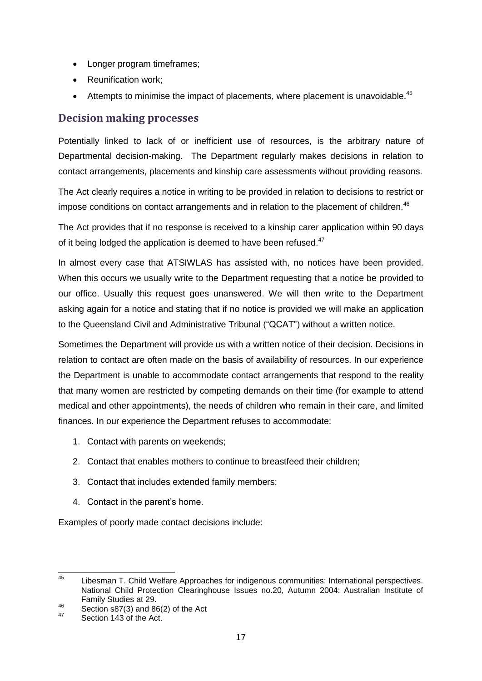- Longer program timeframes;
- Reunification work;
- **•** Attempts to minimise the impact of placements, where placement is unavoidable.<sup>45</sup>

### **Decision making processes**

Potentially linked to lack of or inefficient use of resources, is the arbitrary nature of Departmental decision-making. The Department regularly makes decisions in relation to contact arrangements, placements and kinship care assessments without providing reasons.

The Act clearly requires a notice in writing to be provided in relation to decisions to restrict or impose conditions on contact arrangements and in relation to the placement of children.<sup>46</sup>

The Act provides that if no response is received to a kinship carer application within 90 days of it being lodged the application is deemed to have been refused.<sup>47</sup>

In almost every case that ATSIWLAS has assisted with, no notices have been provided. When this occurs we usually write to the Department requesting that a notice be provided to our office. Usually this request goes unanswered. We will then write to the Department asking again for a notice and stating that if no notice is provided we will make an application to the Queensland Civil and Administrative Tribunal ("QCAT") without a written notice.

Sometimes the Department will provide us with a written notice of their decision. Decisions in relation to contact are often made on the basis of availability of resources. In our experience the Department is unable to accommodate contact arrangements that respond to the reality that many women are restricted by competing demands on their time (for example to attend medical and other appointments), the needs of children who remain in their care, and limited finances. In our experience the Department refuses to accommodate:

- 1. Contact with parents on weekends;
- 2. Contact that enables mothers to continue to breastfeed their children;
- 3. Contact that includes extended family members;
- 4. Contact in the parent's home.

Examples of poorly made contact decisions include:

 $45$ <sup>45</sup> Libesman T. Child Welfare Approaches for indigenous communities: International perspectives. National Child Protection Clearinghouse Issues no.20, Autumn 2004: Australian Institute of Family Studies at 29.

<sup>&</sup>lt;sup>46</sup> Section s87(3) and 86(2) of the Act

<sup>47</sup> Section 143 of the Act.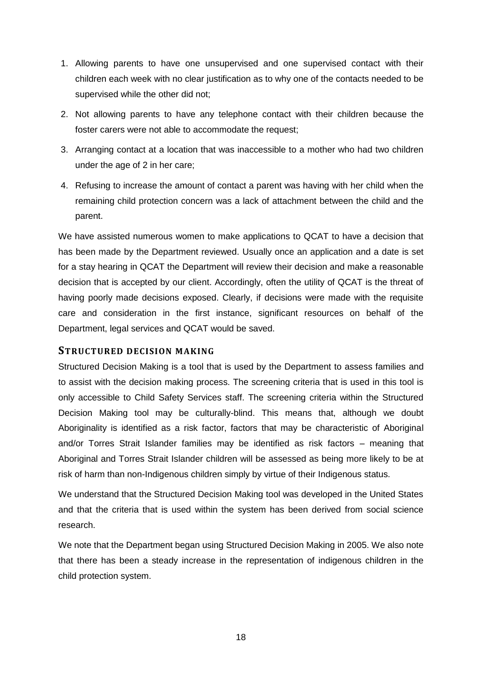- 1. Allowing parents to have one unsupervised and one supervised contact with their children each week with no clear justification as to why one of the contacts needed to be supervised while the other did not;
- 2. Not allowing parents to have any telephone contact with their children because the foster carers were not able to accommodate the request;
- 3. Arranging contact at a location that was inaccessible to a mother who had two children under the age of 2 in her care;
- 4. Refusing to increase the amount of contact a parent was having with her child when the remaining child protection concern was a lack of attachment between the child and the parent.

We have assisted numerous women to make applications to QCAT to have a decision that has been made by the Department reviewed. Usually once an application and a date is set for a stay hearing in QCAT the Department will review their decision and make a reasonable decision that is accepted by our client. Accordingly, often the utility of QCAT is the threat of having poorly made decisions exposed. Clearly, if decisions were made with the requisite care and consideration in the first instance, significant resources on behalf of the Department, legal services and QCAT would be saved.

#### **STRUCTURED DECISION MAKING**

Structured Decision Making is a tool that is used by the Department to assess families and to assist with the decision making process. The screening criteria that is used in this tool is only accessible to Child Safety Services staff. The screening criteria within the Structured Decision Making tool may be culturally-blind. This means that, although we doubt Aboriginality is identified as a risk factor, factors that may be characteristic of Aboriginal and/or Torres Strait Islander families may be identified as risk factors – meaning that Aboriginal and Torres Strait Islander children will be assessed as being more likely to be at risk of harm than non-Indigenous children simply by virtue of their Indigenous status.

We understand that the Structured Decision Making tool was developed in the United States and that the criteria that is used within the system has been derived from social science research.

We note that the Department began using Structured Decision Making in 2005. We also note that there has been a steady increase in the representation of indigenous children in the child protection system.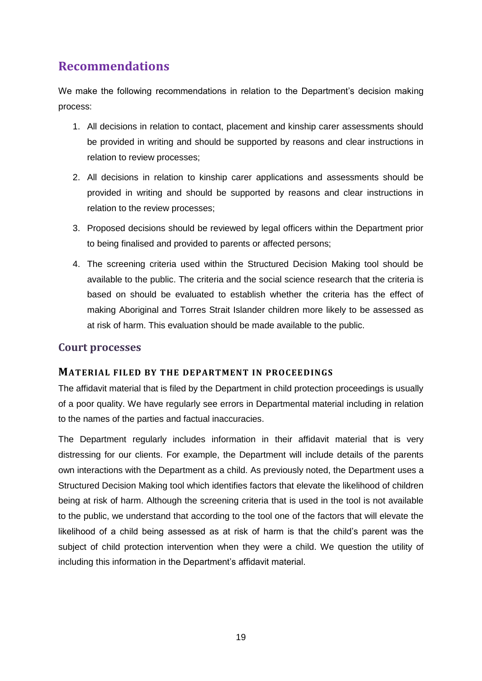# **Recommendations**

We make the following recommendations in relation to the Department's decision making process:

- 1. All decisions in relation to contact, placement and kinship carer assessments should be provided in writing and should be supported by reasons and clear instructions in relation to review processes;
- 2. All decisions in relation to kinship carer applications and assessments should be provided in writing and should be supported by reasons and clear instructions in relation to the review processes;
- 3. Proposed decisions should be reviewed by legal officers within the Department prior to being finalised and provided to parents or affected persons;
- 4. The screening criteria used within the Structured Decision Making tool should be available to the public. The criteria and the social science research that the criteria is based on should be evaluated to establish whether the criteria has the effect of making Aboriginal and Torres Strait Islander children more likely to be assessed as at risk of harm. This evaluation should be made available to the public.

#### **Court processes**

#### **MATERIAL FILED BY THE DEPARTMENT IN PROCEEDINGS**

The affidavit material that is filed by the Department in child protection proceedings is usually of a poor quality. We have regularly see errors in Departmental material including in relation to the names of the parties and factual inaccuracies.

The Department regularly includes information in their affidavit material that is very distressing for our clients. For example, the Department will include details of the parents own interactions with the Department as a child. As previously noted, the Department uses a Structured Decision Making tool which identifies factors that elevate the likelihood of children being at risk of harm. Although the screening criteria that is used in the tool is not available to the public, we understand that according to the tool one of the factors that will elevate the likelihood of a child being assessed as at risk of harm is that the child's parent was the subject of child protection intervention when they were a child. We question the utility of including this information in the Department's affidavit material.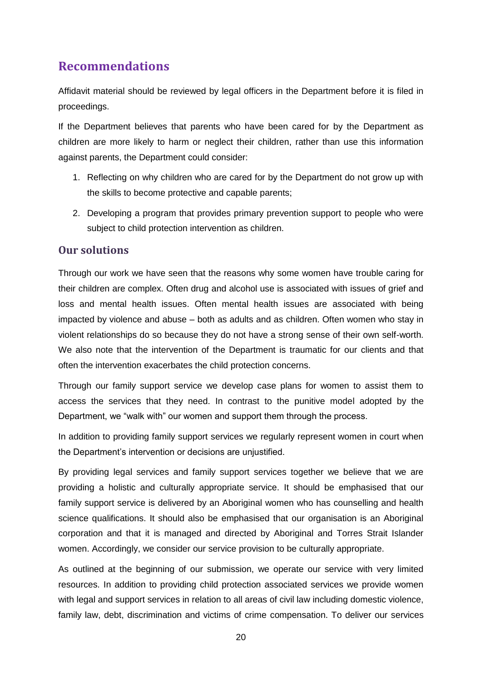# **Recommendations**

Affidavit material should be reviewed by legal officers in the Department before it is filed in proceedings.

If the Department believes that parents who have been cared for by the Department as children are more likely to harm or neglect their children, rather than use this information against parents, the Department could consider:

- 1. Reflecting on why children who are cared for by the Department do not grow up with the skills to become protective and capable parents;
- 2. Developing a program that provides primary prevention support to people who were subject to child protection intervention as children.

## **Our solutions**

Through our work we have seen that the reasons why some women have trouble caring for their children are complex. Often drug and alcohol use is associated with issues of grief and loss and mental health issues. Often mental health issues are associated with being impacted by violence and abuse – both as adults and as children. Often women who stay in violent relationships do so because they do not have a strong sense of their own self-worth. We also note that the intervention of the Department is traumatic for our clients and that often the intervention exacerbates the child protection concerns.

Through our family support service we develop case plans for women to assist them to access the services that they need. In contrast to the punitive model adopted by the Department, we "walk with" our women and support them through the process.

In addition to providing family support services we regularly represent women in court when the Department's intervention or decisions are unjustified.

By providing legal services and family support services together we believe that we are providing a holistic and culturally appropriate service. It should be emphasised that our family support service is delivered by an Aboriginal women who has counselling and health science qualifications. It should also be emphasised that our organisation is an Aboriginal corporation and that it is managed and directed by Aboriginal and Torres Strait Islander women. Accordingly, we consider our service provision to be culturally appropriate.

As outlined at the beginning of our submission, we operate our service with very limited resources. In addition to providing child protection associated services we provide women with legal and support services in relation to all areas of civil law including domestic violence, family law, debt, discrimination and victims of crime compensation. To deliver our services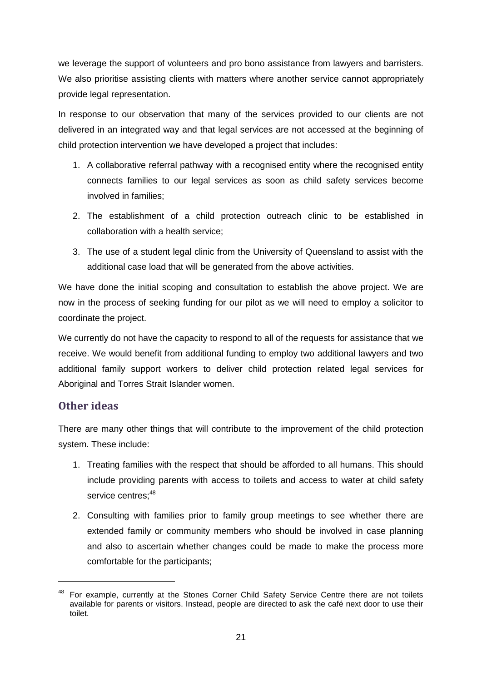we leverage the support of volunteers and pro bono assistance from lawyers and barristers. We also prioritise assisting clients with matters where another service cannot appropriately provide legal representation.

In response to our observation that many of the services provided to our clients are not delivered in an integrated way and that legal services are not accessed at the beginning of child protection intervention we have developed a project that includes:

- 1. A collaborative referral pathway with a recognised entity where the recognised entity connects families to our legal services as soon as child safety services become involved in families;
- 2. The establishment of a child protection outreach clinic to be established in collaboration with a health service;
- 3. The use of a student legal clinic from the University of Queensland to assist with the additional case load that will be generated from the above activities.

We have done the initial scoping and consultation to establish the above project. We are now in the process of seeking funding for our pilot as we will need to employ a solicitor to coordinate the project.

We currently do not have the capacity to respond to all of the requests for assistance that we receive. We would benefit from additional funding to employ two additional lawyers and two additional family support workers to deliver child protection related legal services for Aboriginal and Torres Strait Islander women.

## **Other ideas**

-

There are many other things that will contribute to the improvement of the child protection system. These include:

- 1. Treating families with the respect that should be afforded to all humans. This should include providing parents with access to toilets and access to water at child safety service centres: 48
- 2. Consulting with families prior to family group meetings to see whether there are extended family or community members who should be involved in case planning and also to ascertain whether changes could be made to make the process more comfortable for the participants;

<sup>&</sup>lt;sup>48</sup> For example, currently at the Stones Corner Child Safety Service Centre there are not toilets available for parents or visitors. Instead, people are directed to ask the café next door to use their toilet.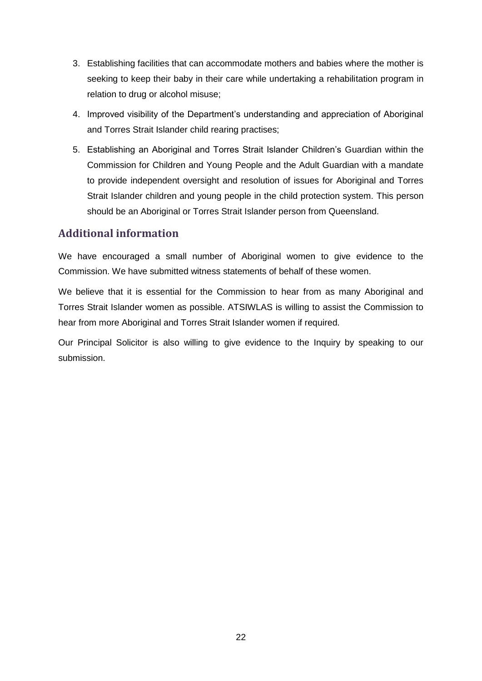- 3. Establishing facilities that can accommodate mothers and babies where the mother is seeking to keep their baby in their care while undertaking a rehabilitation program in relation to drug or alcohol misuse;
- 4. Improved visibility of the Department's understanding and appreciation of Aboriginal and Torres Strait Islander child rearing practises;
- 5. Establishing an Aboriginal and Torres Strait Islander Children's Guardian within the Commission for Children and Young People and the Adult Guardian with a mandate to provide independent oversight and resolution of issues for Aboriginal and Torres Strait Islander children and young people in the child protection system. This person should be an Aboriginal or Torres Strait Islander person from Queensland.

## **Additional information**

We have encouraged a small number of Aboriginal women to give evidence to the Commission. We have submitted witness statements of behalf of these women.

We believe that it is essential for the Commission to hear from as many Aboriginal and Torres Strait Islander women as possible. ATSIWLAS is willing to assist the Commission to hear from more Aboriginal and Torres Strait Islander women if required.

Our Principal Solicitor is also willing to give evidence to the Inquiry by speaking to our submission.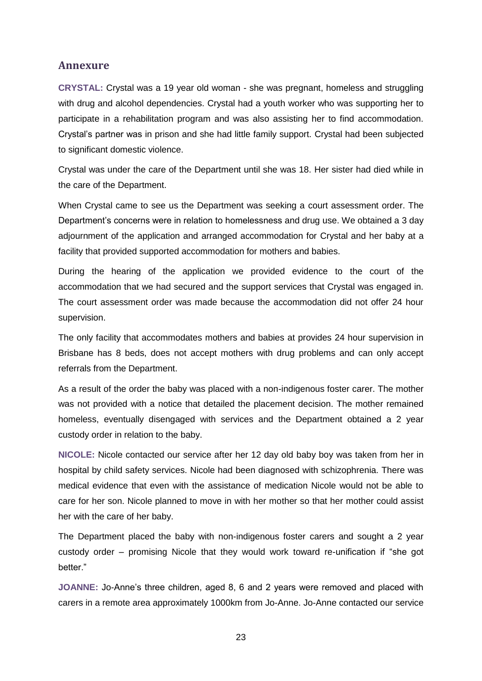#### **Annexure**

**CRYSTAL:** Crystal was a 19 year old woman - she was pregnant, homeless and struggling with drug and alcohol dependencies. Crystal had a youth worker who was supporting her to participate in a rehabilitation program and was also assisting her to find accommodation. Crystal's partner was in prison and she had little family support. Crystal had been subjected to significant domestic violence.

Crystal was under the care of the Department until she was 18. Her sister had died while in the care of the Department.

When Crystal came to see us the Department was seeking a court assessment order. The Department's concerns were in relation to homelessness and drug use. We obtained a 3 day adjournment of the application and arranged accommodation for Crystal and her baby at a facility that provided supported accommodation for mothers and babies.

During the hearing of the application we provided evidence to the court of the accommodation that we had secured and the support services that Crystal was engaged in. The court assessment order was made because the accommodation did not offer 24 hour supervision.

The only facility that accommodates mothers and babies at provides 24 hour supervision in Brisbane has 8 beds, does not accept mothers with drug problems and can only accept referrals from the Department.

As a result of the order the baby was placed with a non-indigenous foster carer. The mother was not provided with a notice that detailed the placement decision. The mother remained homeless, eventually disengaged with services and the Department obtained a 2 year custody order in relation to the baby.

**NICOLE:** Nicole contacted our service after her 12 day old baby boy was taken from her in hospital by child safety services. Nicole had been diagnosed with schizophrenia. There was medical evidence that even with the assistance of medication Nicole would not be able to care for her son. Nicole planned to move in with her mother so that her mother could assist her with the care of her baby.

The Department placed the baby with non-indigenous foster carers and sought a 2 year custody order – promising Nicole that they would work toward re-unification if "she got better."

**JOANNE:** Jo-Anne's three children, aged 8, 6 and 2 years were removed and placed with carers in a remote area approximately 1000km from Jo-Anne. Jo-Anne contacted our service

23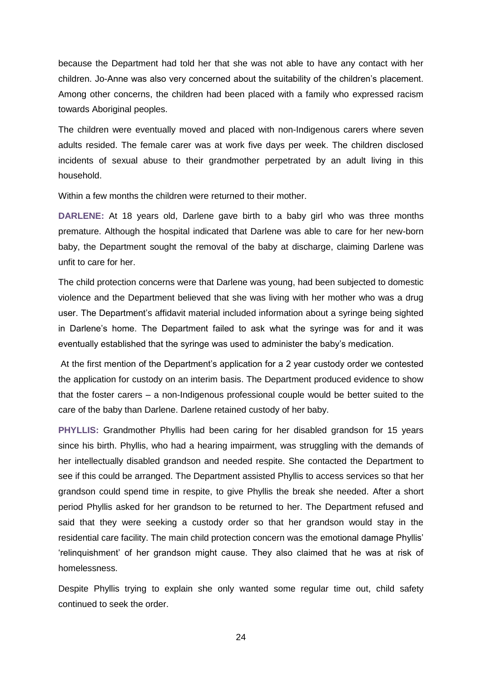because the Department had told her that she was not able to have any contact with her children. Jo-Anne was also very concerned about the suitability of the children's placement. Among other concerns, the children had been placed with a family who expressed racism towards Aboriginal peoples.

The children were eventually moved and placed with non-Indigenous carers where seven adults resided. The female carer was at work five days per week. The children disclosed incidents of sexual abuse to their grandmother perpetrated by an adult living in this household.

Within a few months the children were returned to their mother.

**DARLENE:** At 18 years old, Darlene gave birth to a baby girl who was three months premature. Although the hospital indicated that Darlene was able to care for her new-born baby, the Department sought the removal of the baby at discharge, claiming Darlene was unfit to care for her.

The child protection concerns were that Darlene was young, had been subjected to domestic violence and the Department believed that she was living with her mother who was a drug user. The Department's affidavit material included information about a syringe being sighted in Darlene's home. The Department failed to ask what the syringe was for and it was eventually established that the syringe was used to administer the baby's medication.

At the first mention of the Department's application for a 2 year custody order we contested the application for custody on an interim basis. The Department produced evidence to show that the foster carers – a non-Indigenous professional couple would be better suited to the care of the baby than Darlene. Darlene retained custody of her baby.

**PHYLLIS:** Grandmother Phyllis had been caring for her disabled grandson for 15 years since his birth. Phyllis, who had a hearing impairment, was struggling with the demands of her intellectually disabled grandson and needed respite. She contacted the Department to see if this could be arranged. The Department assisted Phyllis to access services so that her grandson could spend time in respite, to give Phyllis the break she needed. After a short period Phyllis asked for her grandson to be returned to her. The Department refused and said that they were seeking a custody order so that her grandson would stay in the residential care facility. The main child protection concern was the emotional damage Phyllis' 'relinquishment' of her grandson might cause. They also claimed that he was at risk of homelessness.

Despite Phyllis trying to explain she only wanted some regular time out, child safety continued to seek the order.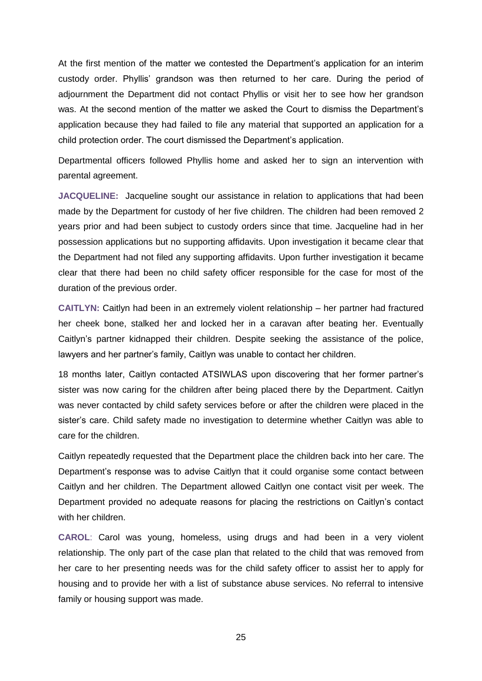At the first mention of the matter we contested the Department's application for an interim custody order. Phyllis' grandson was then returned to her care. During the period of adjournment the Department did not contact Phyllis or visit her to see how her grandson was. At the second mention of the matter we asked the Court to dismiss the Department's application because they had failed to file any material that supported an application for a child protection order. The court dismissed the Department's application.

Departmental officers followed Phyllis home and asked her to sign an intervention with parental agreement.

**JACQUELINE:** Jacqueline sought our assistance in relation to applications that had been made by the Department for custody of her five children. The children had been removed 2 years prior and had been subject to custody orders since that time. Jacqueline had in her possession applications but no supporting affidavits. Upon investigation it became clear that the Department had not filed any supporting affidavits. Upon further investigation it became clear that there had been no child safety officer responsible for the case for most of the duration of the previous order.

**CAITLYN:** Caitlyn had been in an extremely violent relationship – her partner had fractured her cheek bone, stalked her and locked her in a caravan after beating her. Eventually Caitlyn's partner kidnapped their children. Despite seeking the assistance of the police, lawyers and her partner's family, Caitlyn was unable to contact her children.

18 months later, Caitlyn contacted ATSIWLAS upon discovering that her former partner's sister was now caring for the children after being placed there by the Department. Caitlyn was never contacted by child safety services before or after the children were placed in the sister's care. Child safety made no investigation to determine whether Caitlyn was able to care for the children.

Caitlyn repeatedly requested that the Department place the children back into her care. The Department's response was to advise Caitlyn that it could organise some contact between Caitlyn and her children. The Department allowed Caitlyn one contact visit per week. The Department provided no adequate reasons for placing the restrictions on Caitlyn's contact with her children.

**CAROL**: Carol was young, homeless, using drugs and had been in a very violent relationship. The only part of the case plan that related to the child that was removed from her care to her presenting needs was for the child safety officer to assist her to apply for housing and to provide her with a list of substance abuse services. No referral to intensive family or housing support was made.